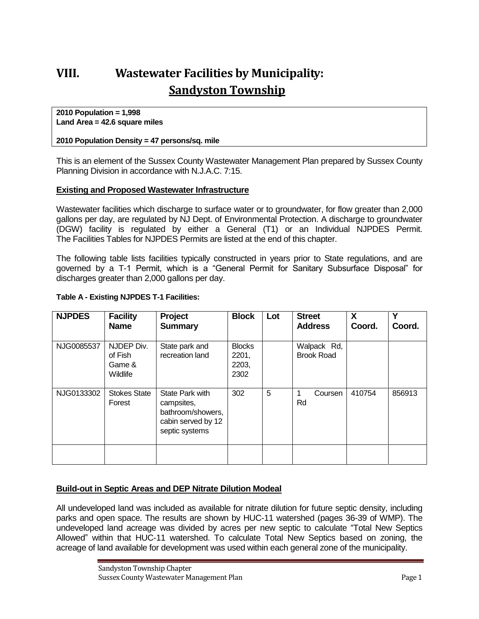# **VIII. Wastewater Facilities by Municipality: Sandyston Township**

**2010 Population = 1,998 Land Area = 42.6 square miles**

#### **2010 Population Density = 47 persons/sq. mile**

This is an element of the Sussex County Wastewater Management Plan prepared by Sussex County Planning Division in accordance with N.J.A.C. 7:15.

#### **Existing and Proposed Wastewater Infrastructure**

Wastewater facilities which discharge to surface water or to groundwater, for flow greater than 2,000 gallons per day, are regulated by NJ Dept. of Environmental Protection. A discharge to groundwater (DGW) facility is regulated by either a General (T1) or an Individual NJPDES Permit. The Facilities Tables for NJPDES Permits are listed at the end of this chapter.

The following table lists facilities typically constructed in years prior to State regulations, and are governed by a T-1 Permit, which is a "General Permit for Sanitary Subsurface Disposal" for discharges greater than 2,000 gallons per day.

| <b>NJPDES</b> | <b>Facility</b><br><b>Name</b>              | Project<br><b>Summary</b>                                                                         | <b>Block</b>                            | Lot | <b>Street</b><br><b>Address</b>  | X<br>Coord. | ν<br>Coord. |
|---------------|---------------------------------------------|---------------------------------------------------------------------------------------------------|-----------------------------------------|-----|----------------------------------|-------------|-------------|
| NJG0085537    | NJDEP Div.<br>of Fish<br>Game &<br>Wildlife | State park and<br>recreation land                                                                 | <b>Blocks</b><br>2201,<br>2203,<br>2302 |     | Walpack Rd,<br><b>Brook Road</b> |             |             |
| NJG0133302    | <b>Stokes State</b><br>Forest               | <b>State Park with</b><br>campsites,<br>bathroom/showers,<br>cabin served by 12<br>septic systems | 302                                     | 5   | Coursen<br>Rd                    | 410754      | 856913      |
|               |                                             |                                                                                                   |                                         |     |                                  |             |             |

#### **Table A - Existing NJPDES T-1 Facilities:**

#### **Build-out in Septic Areas and DEP Nitrate Dilution Modeal**

All undeveloped land was included as available for nitrate dilution for future septic density, including parks and open space. The results are shown by HUC-11 watershed (pages 36-39 of WMP). The undeveloped land acreage was divided by acres per new septic to calculate "Total New Septics Allowed" within that HUC-11 watershed. To calculate Total New Septics based on zoning, the acreage of land available for development was used within each general zone of the municipality.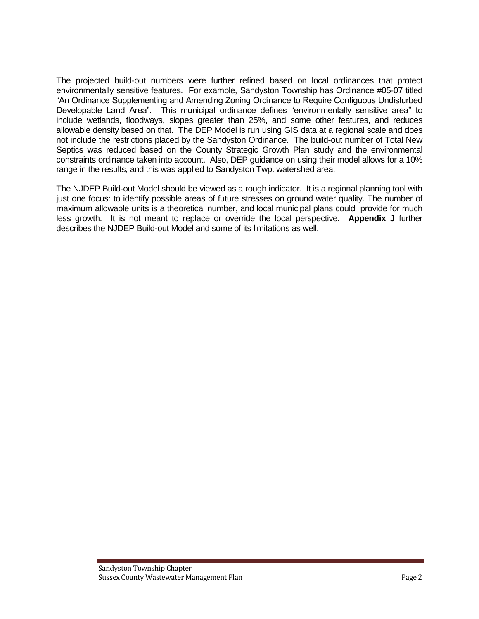The projected build-out numbers were further refined based on local ordinances that protect environmentally sensitive features. For example, Sandyston Township has Ordinance #05-07 titled "An Ordinance Supplementing and Amending Zoning Ordinance to Require Contiguous Undisturbed Developable Land Area". This municipal ordinance defines "environmentally sensitive area" to include wetlands, floodways, slopes greater than 25%, and some other features, and reduces allowable density based on that. The DEP Model is run using GIS data at a regional scale and does not include the restrictions placed by the Sandyston Ordinance. The build-out number of Total New Septics was reduced based on the County Strategic Growth Plan study and the environmental constraints ordinance taken into account. Also, DEP guidance on using their model allows for a 10% range in the results, and this was applied to Sandyston Twp. watershed area.

The NJDEP Build-out Model should be viewed as a rough indicator. It is a regional planning tool with just one focus: to identify possible areas of future stresses on ground water quality. The number of maximum allowable units is a theoretical number, and local municipal plans could provide for much less growth. It is not meant to replace or override the local perspective. **Appendix J** further describes the NJDEP Build-out Model and some of its limitations as well.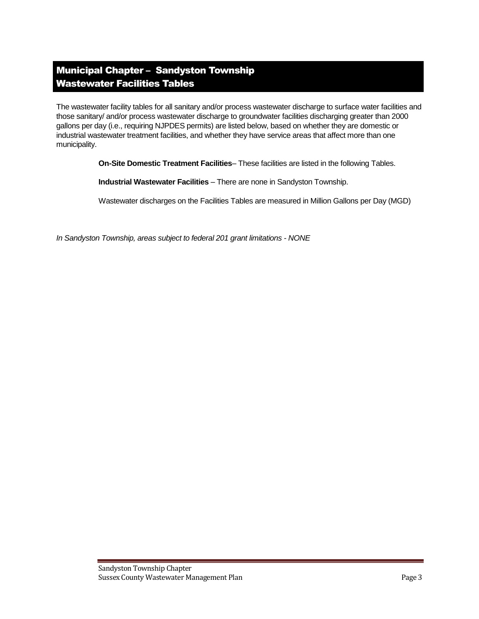# Municipal Chapter – Sandyston Township Wastewater Facilities Tables

The wastewater facility tables for all sanitary and/or process wastewater discharge to surface water facilities and those sanitary/ and/or process wastewater discharge to groundwater facilities discharging greater than 2000 gallons per day (i.e., requiring NJPDES permits) are listed below, based on whether they are domestic or industrial wastewater treatment facilities, and whether they have service areas that affect more than one municipality.

**On-Site Domestic Treatment Facilities**– These facilities are listed in the following Tables.

**Industrial Wastewater Facilities** – There are none in Sandyston Township.

Wastewater discharges on the Facilities Tables are measured in Million Gallons per Day (MGD)

*In Sandyston Township, areas subject to federal 201 grant limitations - NONE*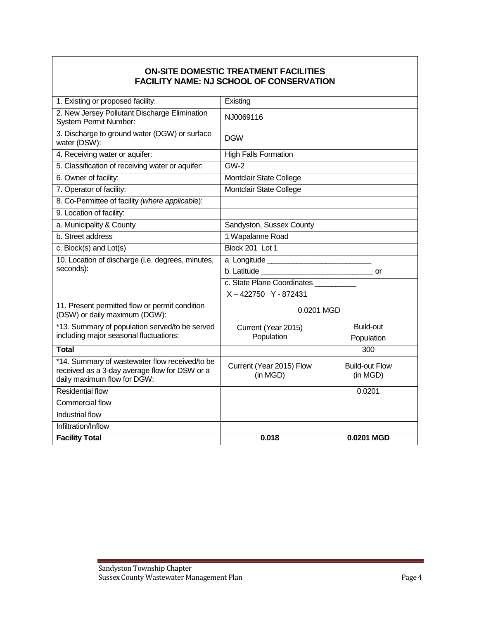## **ON-SITE DOMESTIC TREATMENT FACILITIES FACILITY NAME: NJ SCHOOL OF CONSERVATION**

| 1. Existing or proposed facility:                                                                                              | Existing                              |                                   |  |  |
|--------------------------------------------------------------------------------------------------------------------------------|---------------------------------------|-----------------------------------|--|--|
| 2. New Jersey Pollutant Discharge Elimination<br>System Permit Number:                                                         | NJ0069116                             |                                   |  |  |
| 3. Discharge to ground water (DGW) or surface<br>water (DSW):                                                                  | <b>DGW</b>                            |                                   |  |  |
| 4. Receiving water or aquifer:                                                                                                 | <b>High Falls Formation</b>           |                                   |  |  |
| 5. Classification of receiving water or aquifer:                                                                               | <b>GW-2</b>                           |                                   |  |  |
| 6. Owner of facility:                                                                                                          | Montclair State College               |                                   |  |  |
| 7. Operator of facility:                                                                                                       | Montclair State College               |                                   |  |  |
| 8. Co-Permittee of facility (where applicable):                                                                                |                                       |                                   |  |  |
| 9. Location of facility:                                                                                                       |                                       |                                   |  |  |
| a. Municipality & County                                                                                                       | Sandyston, Sussex County              |                                   |  |  |
| b. Street address                                                                                                              | 1 Wapalanne Road                      |                                   |  |  |
| c. Block(s) and Lot(s)                                                                                                         | Block 201 Lot 1                       |                                   |  |  |
| 10. Location of discharge (i.e. degrees, minutes,                                                                              |                                       |                                   |  |  |
| seconds):                                                                                                                      | or                                    |                                   |  |  |
|                                                                                                                                | c. State Plane Coordinates __________ |                                   |  |  |
|                                                                                                                                | X-422750 Y-872431                     |                                   |  |  |
| 11. Present permitted flow or permit condition<br>(DSW) or daily maximum (DGW):                                                | 0.0201 MGD                            |                                   |  |  |
| *13. Summary of population served/to be served                                                                                 | Current (Year 2015)                   | <b>Build-out</b>                  |  |  |
| including major seasonal fluctuations:                                                                                         | Population                            | Population                        |  |  |
| <b>Total</b>                                                                                                                   |                                       | 300                               |  |  |
| *14. Summary of wastewater flow received/to be<br>received as a 3-day average flow for DSW or a<br>daily maximum flow for DGW: | Current (Year 2015) Flow<br>(in MGD)  | <b>Build-out Flow</b><br>(in MGD) |  |  |
| <b>Residential flow</b>                                                                                                        |                                       | 0.0201                            |  |  |
| <b>Commercial flow</b>                                                                                                         |                                       |                                   |  |  |
| Industrial flow                                                                                                                |                                       |                                   |  |  |
| Infiltration/Inflow                                                                                                            |                                       |                                   |  |  |
| <b>Facility Total</b>                                                                                                          | 0.018                                 | 0.0201 MGD                        |  |  |